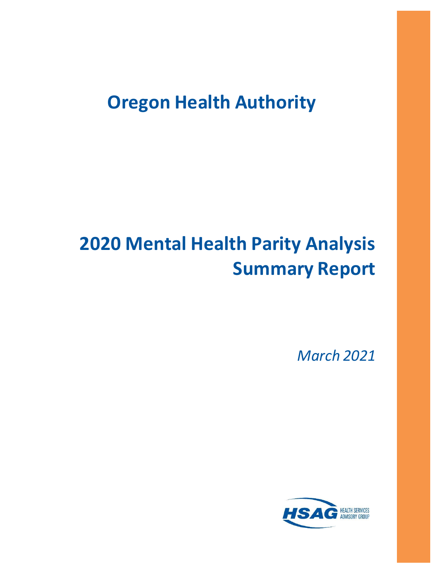# **Oregon Health Authority**

# **2020 Mental Health Parity Analysis Summary Report**

*March 2021*

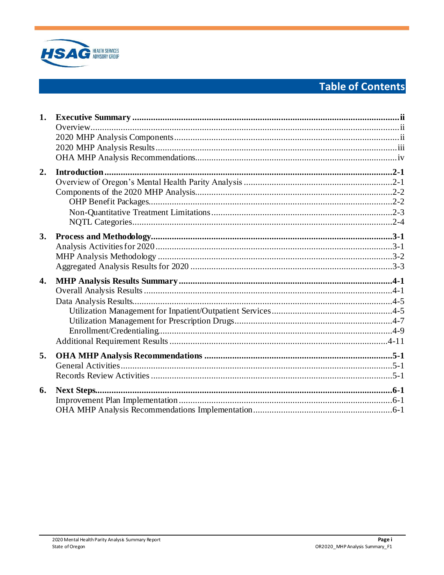

# **Table of Contents**

| 1.               |  |
|------------------|--|
|                  |  |
|                  |  |
|                  |  |
|                  |  |
| $\overline{2}$ . |  |
|                  |  |
|                  |  |
|                  |  |
|                  |  |
|                  |  |
| 3.               |  |
|                  |  |
|                  |  |
|                  |  |
| 4.               |  |
|                  |  |
|                  |  |
|                  |  |
|                  |  |
|                  |  |
|                  |  |
| 5.               |  |
|                  |  |
|                  |  |
| 6.               |  |
|                  |  |
|                  |  |
|                  |  |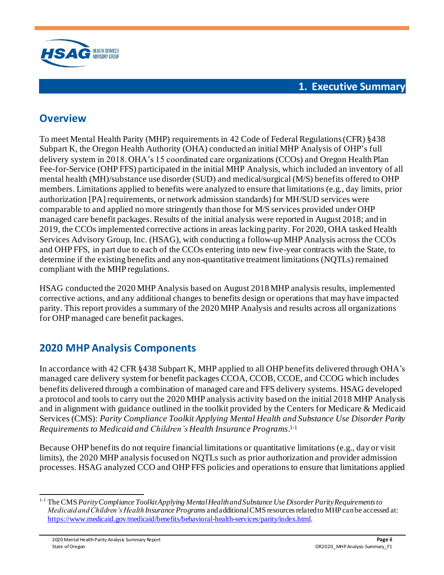

# <span id="page-2-1"></span><span id="page-2-0"></span>**Overview**

To meet Mental Health Parity (MHP) requirements in 42 Code of Federal Regulations (CFR) §438 Subpart K, the Oregon Health Authority (OHA) conducted an initial MHP Analysis of OHP's full delivery system in 2018. OHA's 15 coordinated care organizations (CCOs) and Oregon Health Plan Fee-for-Service (OHP FFS) participated in the initial MHP Analysis, which included an inventory of all mental health (MH)/substance use disorder (SUD) and medical/surgical (M/S) benefits offered to OHP members. Limitations applied to benefits were analyzed to ensure that limitations (e.g., day limits, prior authorization [PA] requirements, or network admission standards) for MH/SUD services were comparable to and applied no more stringently than those for M/S services provided under OHP managed care benefit packages. Results of the initial analysis were reported in August 2018; and in 2019, the CCOs implemented corrective actions in areas lacking parity. For 2020, OHA tasked Health Services Advisory Group, Inc. (HSAG), with conducting a follow-up MHP Analysis across the CCOs and OHP FFS, in part due to each of the CCOs entering into new five-year contracts with the State, to determine if the existing benefits and any non-quantitative treatment limitations (NQTLs) remained compliant with the MHP regulations.

HSAG conducted the 2020 MHP Analysis based on August 2018 MHP analysis results, implemented corrective actions, and any additional changes to benefits design or operations that may have impacted parity. This report provides a summary of the 2020 MHP Analysis and results across all organizations for OHP managed care benefit packages.

# <span id="page-2-2"></span>**2020 MHP Analysis Components**

In accordance with 42 CFR §438 Subpart K, MHP applied to all OHP benefits delivered through OHA's managed care delivery system for benefit packages CCOA, CCOB, CCOE, and CCOG which includes benefits delivered through a combination of managed care and FFS delivery systems. HSAG developed a protocol and tools to carry out the 2020 MHP analysis activity based on the initial 2018 MHP Analysis and in alignment with guidance outlined in the toolkit provided by the Centers for Medicare & Medicaid Services (CMS): *Parity Compliance Toolkit Applying Mental Health and Substance Use Disorder Parity Requirements to Medicaid and Children's Health Insurance Programs*. 1-1

Because OHP benefits do not require financial limitations or quantitative limitations (e.g., day or visit limits), the 2020 MHP analysis focused on NQTLs such as prior authorization and provider admission processes. HSAG analyzed CCO and OHP FFS policies and operations to ensure that limitations applied

<sup>1-1</sup> The CMS *Parity Compliance Toolkit Applying Mental Health and Substance Use Disorder Parity Requirements to Medicaid and Children's Health Insurance Programs* and additional CMS resources related to MHP can be accessed at: <https://www.medicaid.gov/medicaid/benefits/behavioral-health-services/parity/index.html>.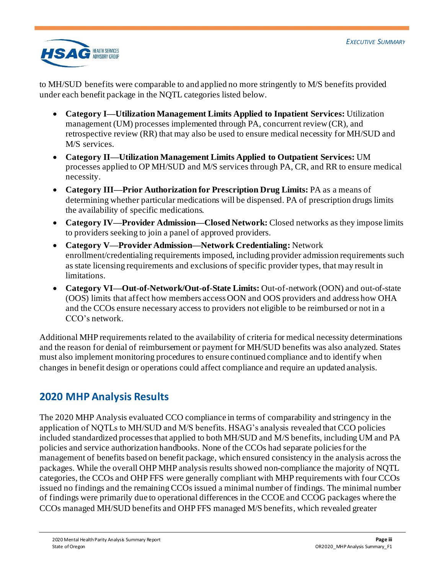

to MH/SUD benefits were comparable to and applied no more stringently to M/S benefits provided under each benefit package in the NQTL categories listed below.

- **Category I—Utilization Management Limits Applied to Inpatient Services:** Utilization management (UM) processes implemented through PA, concurrent review (CR), and retrospective review (RR) that may also be used to ensure medical necessity for MH/SUD and M/S services.
- **Category II—Utilization Management Limits Applied to Outpatient Services:** UM processes applied to OP MH/SUD and M/S services through PA, CR, and RR to ensure medical necessity.
- **Category III—Prior Authorization for Prescription Drug Limits:** PA as a means of determining whether particular medications will be dispensed. PA of prescription drugs limits the availability of specific medications.
- **Category IV—Provider Admission—Closed Network:** Closed networks as they impose limits to providers seeking to join a panel of approved providers.
- **Category V—Provider Admission—Network Credentialing:** Network enrollment/credentialing requirements imposed, including provider admission requirements such as state licensing requirements and exclusions of specific provider types, that may result in limitations.
- **Category VI—Out-of-Network/Out-of-State Limits:** Out-of-network (OON) and out-of-state (OOS) limits that affect how members access OON and OOS providers and address how OHA and the CCOs ensure necessary access to providers not eligible to be reimbursed or not in a CCO's network.

Additional MHP requirements related to the availability of criteria for medical necessity determinations and the reason for denial of reimbursement or payment for MH/SUD benefits was also analyzed. States must also implement monitoring procedures to ensure continued compliance and to identify when changes in benefit design or operations could affect compliance and require an updated analysis.

# <span id="page-3-0"></span>**2020 MHP Analysis Results**

The 2020 MHP Analysis evaluated CCO compliance in terms of comparability and stringency in the application of NQTLs to MH/SUD and M/S benefits. HSAG's analysis revealed that CCO policies included standardized processes that applied to both MH/SUD and M/S benefits, including UM and PA policies and service authorization handbooks. None of the CCOs had separate policies for the management of benefits based on benefit package, which ensured consistency in the analysis across the packages. While the overall OHP MHP analysis results showed non-compliance the majority of NQTL categories, the CCOs and OHP FFS were generally compliant with MHP requirements with four CCOs issued no findings and the remaining CCOs issued a minimal number of findings. The minimal number of findings were primarily due to operational differences in the CCOE and CCOG packages where the CCOs managed MH/SUD benefits and OHP FFS managed M/S benefits, which revealed greater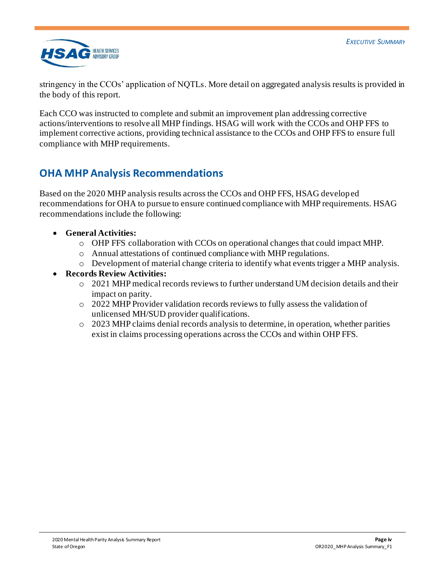

stringency in the CCOs' application of NQTLs. More detail on aggregated analysis results is provided in the body of this report.

Each CCO was instructed to complete and submit an improvement plan addressing corrective actions/interventions to resolve all MHP findings. HSAG will work with the CCOs and OHP FFS to implement corrective actions, providing technical assistance to the CCOs and OHP FFS to ensure full compliance with MHP requirements.

# <span id="page-4-0"></span>**OHA MHP Analysis Recommendations**

Based on the 2020 MHP analysis results across the CCOs and OHP FFS, HSAG developed recommendations for OHA to pursue to ensure continued compliance with MHP requirements. HSAG recommendations include the following:

- **General Activities:**
	- o OHP FFS collaboration with CCOs on operational changes that could impact MHP.
	- o Annual attestations of continued compliance with MHP regulations.
	- o Development of material change criteria to identify what events trigger a MHP analysis.
- **Records Review Activities:**
	- o 2021 MHP medical records reviews to further understand UM decision details and their impact on parity.
	- o 2022 MHP Provider validation records reviews to fully assess the validation of unlicensed MH/SUD provider qualifications.
	- o 2023 MHP claims denial records analysis to determine, in operation, whether parities exist in claims processing operations across the CCOs and within OHP FFS.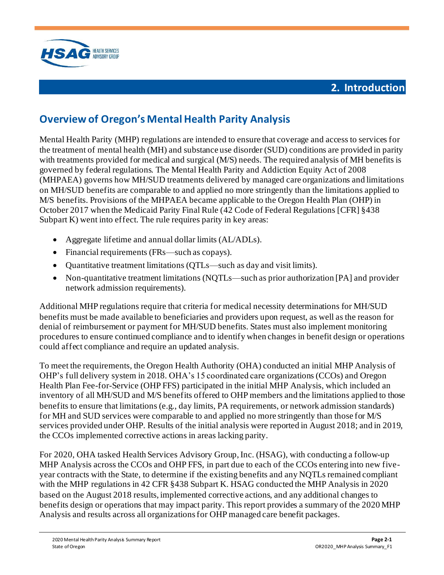



# <span id="page-5-1"></span><span id="page-5-0"></span>**Overview of Oregon's Mental Health Parity Analysis**

Mental Health Parity (MHP) regulations are intended to ensure that coverage and access to services for the treatment of mental health (MH) and substance use disorder (SUD) conditions are provided in parity with treatments provided for medical and surgical (M/S) needs. The required analysis of MH benefits is governed by federal regulations. The Mental Health Parity and Addiction Equity Act of 2008 (MHPAEA) governs how MH/SUD treatments delivered by managed care organizations and limitations on MH/SUD benefits are comparable to and applied no more stringently than the limitations applied to M/S benefits. Provisions of the MHPAEA became applicable to the Oregon Health Plan (OHP) in October 2017 when the Medicaid Parity Final Rule (42 Code of Federal Regulations [CFR] §438 Subpart K) went into effect. The rule requires parity in key areas:

- Aggregate lifetime and annual dollar limits (AL/ADLs).
- Financial requirements (FRs—such as copays).
- Quantitative treatment limitations (QTLs—such as day and visit limits).
- Non-quantitative treatment limitations (NQTLs—such as prior authorization [PA] and provider network admission requirements).

Additional MHP regulations require that criteria for medical necessity determinations for MH/SUD benefits must be made available to beneficiaries and providers upon request, as well as the reason for denial of reimbursement or payment for MH/SUD benefits. States must also implement monitoring procedures to ensure continued compliance and to identify when changes in benefit design or operations could affect compliance and require an updated analysis.

To meet the requirements, the Oregon Health Authority (OHA) conducted an initial MHP Analysis of OHP's full delivery system in 2018. OHA's 15 coordinated care organizations (CCOs) and Oregon Health Plan Fee-for-Service (OHP FFS) participated in the initial MHP Analysis, which included an inventory of all MH/SUD and M/S benefits offered to OHP members and the limitations applied to those benefits to ensure that limitations (e.g., day limits, PA requirements, or network admission standards) for MH and SUD services were comparable to and applied no more stringently than those for M/S services provided under OHP. Results of the initial analysis were reported in August 2018; and in 2019, the CCOs implemented corrective actions in areas lacking parity.

For 2020, OHA tasked Health Services Advisory Group, Inc. (HSAG), with conducting a follow-up MHP Analysis across the CCOs and OHP FFS, in part due to each of the CCOs entering into new fiveyear contracts with the State, to determine if the existing benefits and any NQTLs remained compliant with the MHP regulations in 42 CFR §438 Subpart K. HSAG conducted the MHP Analysis in 2020 based on the August 2018 results, implemented corrective actions, and any additional changes to benefits design or operations that may impact parity. This report provides a summary of the 2020 MHP Analysis and results across all organizations for OHP managed care benefit packages.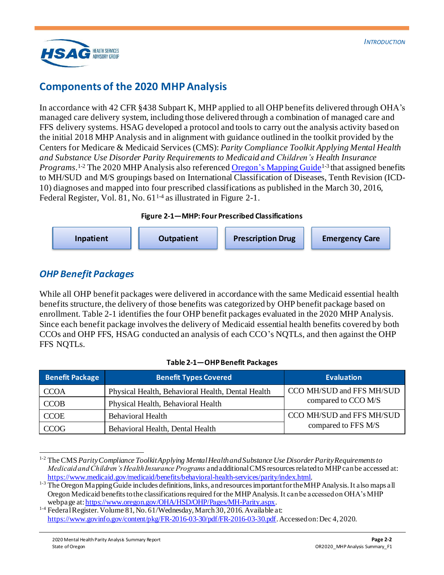

# <span id="page-6-0"></span>**Components of the 2020 MHP Analysis**

In accordance with 42 CFR §438 Subpart K, MHP applied to all OHP benefits delivered through OHA's managed care delivery system, including those delivered through a combination of managed care and FFS delivery systems. HSAG developed a protocol and tools to carry out the analysis activity based on the initial 2018 MHP Analysis and in alignment with guidance outlined in the toolkit provided by the Centers for Medicare & Medicaid Services (CMS): *Parity Compliance Toolkit Applying Mental Health and Substance Use Disorder Parity Requirements to Medicaid and Children's Health Insurance* Programs.<sup>1-2</sup> The 2020 MHP Analysis also reference[d Oregon's Mapping](https://www.oregon.gov/oha/HSD/OHP/Tools/Guide%20to%20Mapping%20Oregon%20Medicaid%20Benefits%20and%20Services.pdf) Guide<sup>1-3</sup> that assigned benefits to MH/SUD and M/S groupings based on International Classification of Diseases, Tenth Revision (ICD-10) diagnoses and mapped into four prescribed classifications as published in the March 30, 2016, Federal Register, Vol. 81, No. 61<sup>14</sup> as illustrated in [Figure 2-1.](#page-6-2)

#### **Figure 2-1—MHP: Four Prescribed Classifications**

<span id="page-6-2"></span>**Inpatient Outpatient Prescription Drug Emergency Care**

## <span id="page-6-1"></span>*OHP Benefit Packages*

While all OHP benefit packages were delivered in accordance with the same Medicaid essential health benefits structure, the delivery of those benefits was categorized by OHP benefit package based on enrollment[. Table 2-1](#page-6-3) identifies the four OHP benefit packages evaluated in the 2020 MHP Analysis. Since each benefit package involves the delivery of Medicaid essential health benefits covered by both CCOs and OHP FFS, HSAG conducted an analysis of each CCO's NQTLs, and then against the OHP FFS NOTLs.

#### **Table 2-1—OHP Benefit Packages**

<span id="page-6-3"></span>

| <b>Benefit Package</b> | <b>Benefit Types Covered</b>                      | <b>Evaluation</b>         |
|------------------------|---------------------------------------------------|---------------------------|
| <b>CCOA</b>            | Physical Health, Behavioral Health, Dental Health | CCO MH/SUD and FFS MH/SUD |
| <b>CCOB</b>            | Physical Health, Behavioral Health                | compared to CCO M/S       |
| <b>CCOE</b>            | Behavioral Health                                 | CCO MH/SUD and FFS MH/SUD |
| <b>CCOG</b>            | Behavioral Health, Dental Health                  | compared to FFS M/S       |

<sup>1-2</sup> The CMS *Parity Compliance Toolkit Applying Mental Health and Substance Use Disorder Parity Requirements to Medicaid and Children's Health Insurance Programs* and additional CMS resources related to MHP can be accessed at: <https://www.medicaid.gov/medicaid/benefits/behavioral-health-services/parity/index.html>.

<sup>&</sup>lt;sup>1-3</sup> The Oregon Mapping Guide includes definitions, links, and resources important for the MHP Analysis. It also maps all Oregon Medicaid benefits to the classifications required for the MHPAnalysis. It can be accessed on OHA's MHP webpage a[t: https://www.oregon.gov/OHA/HSD/OHP/Pages/MH-Parity.aspx](https://www.oregon.gov/OHA/HSD/OHP/Pages/MH-Parity.aspx).

<sup>&</sup>lt;sup>1-4</sup> Federal Register. Volume 81, No. 61/Wednesday, March 30, 2016. Available at: <https://www.govinfo.gov/content/pkg/FR-2016-03-30/pdf/FR-2016-03-30.pdf>. Accessed on: Dec 4, 2020.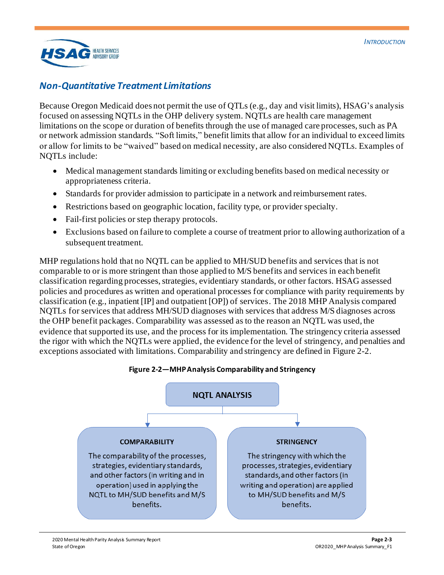

## <span id="page-7-0"></span>*Non-Quantitative Treatment Limitations*

Because Oregon Medicaid does not permit the use of QTLs (e.g., day and visit limits), HSAG's analysis focused on assessing NQTLs in the OHP delivery system. NQTLs are health care management limitations on the scope or duration of benefits through the use of managed care processes, such as PA or network admission standards. "Soft limits," benefit limits that allow for an individual to exceed limits or allow for limits to be "waived" based on medical necessity, are also considered NQTLs. Examples of NQTLs include:

- Medical management standards limiting or excluding benefits based on medical necessity or appropriateness criteria.
- Standards for provider admission to participate in a network and reimbursement rates.
- Restrictions based on geographic location, facility type, or provider specialty.
- Fail-first policies or step therapy protocols.
- Exclusions based on failure to complete a course of treatment prior to allowing authorization of a subsequent treatment.

MHP regulations hold that no NQTL can be applied to MH/SUD benefits and services that is not comparable to or is more stringent than those applied to M/S benefits and services in each benefit classification regarding processes, strategies, evidentiary standards, or other factors. HSAG assessed policies and procedures as written and operational processes for compliance with parity requirements by classification (e.g., inpatient [IP] and outpatient [OP]) of services. The 2018 MHP Analysis compared NQTLs for services that address MH/SUD diagnoses with services that address M/S diagnoses across the OHP benefit packages. Comparability was assessed as to the reason an NQTL was used, the evidence that supported its use, and the process for its implementation. The stringency criteria assessed the rigor with which the NQTLs were applied, the evidence for the level of stringency, and penalties and exceptions associated with limitations. Comparability and stringency are defined i[n Figure 2-2](#page-7-1).



<span id="page-7-1"></span>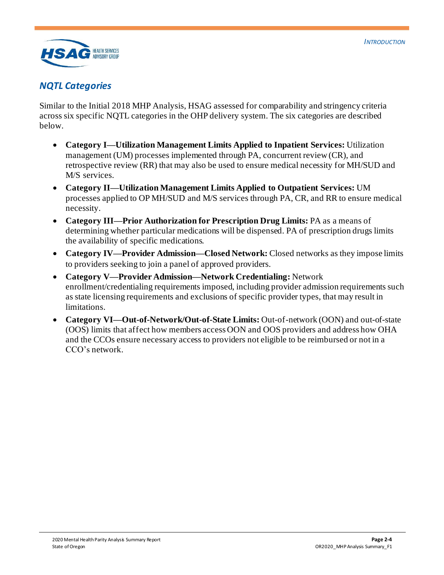

## <span id="page-8-0"></span>*NQTL Categories*

Similar to the Initial 2018 MHP Analysis, HSAG assessed for comparability and stringency criteria across six specific NQTL categories in the OHP delivery system. The six categories are described below.

- **Category I—Utilization Management Limits Applied to Inpatient Services:** Utilization management (UM) processes implemented through PA, concurrent review (CR), and retrospective review (RR) that may also be used to ensure medical necessity for MH/SUD and M/S services.
- **Category II—Utilization Management Limits Applied to Outpatient Services:** UM processes applied to OP MH/SUD and M/S services through PA, CR, and RR to ensure medical necessity.
- **Category III—Prior Authorization for Prescription Drug Limits:** PA as a means of determining whether particular medications will be dispensed. PA of prescription drugs limits the availability of specific medications.
- **Category IV—Provider Admission—Closed Network:** Closed networks as they impose limits to providers seeking to join a panel of approved providers.
- **Category V—Provider Admission—Network Credentialing:** Network enrollment/credentialing requirements imposed, including provider admission requirements such as state licensing requirements and exclusions of specific provider types, that may result in limitations.
- **Category VI—Out-of-Network/Out-of-State Limits:** Out-of-network (OON) and out-of-state (OOS) limits that affect how members access OON and OOS providers and address how OHA and the CCOs ensure necessary access to providers not eligible to be reimbursed or not in a CCO's network.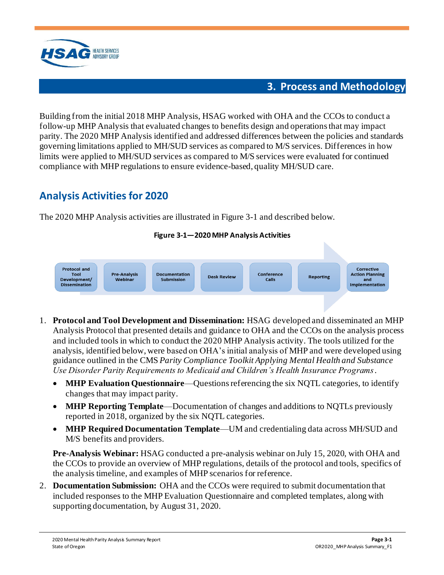

## **3. Process and Methodology**

<span id="page-9-0"></span>Building from the initial 2018 MHP Analysis, HSAG worked with OHA and the CCOs to conduct a follow-up MHP Analysis that evaluated changes to benefits design and operationsthat may impact parity. The 2020 MHP Analysis identified and addressed differences between the policies and standards governing limitations applied to MH/SUD services as compared to M/S services. Differences in how limits were applied to MH/SUD services as compared to M/S services were evaluated for continued compliance with MHP regulations to ensure evidence-based, quality MH/SUD care.

# <span id="page-9-1"></span>**Analysis Activities for 2020**

<span id="page-9-2"></span>The 2020 MHP Analysis activities are illustrated i[n Figure 3-1](#page-9-2) and described below.

## **Figure 3-1—2020 MHP Analysis Activities**



- 1. **Protocol and Tool Development and Dissemination:** HSAG developed and disseminated an MHP Analysis Protocol that presented details and guidance to OHA and the CCOs on the analysis process and included tools in which to conduct the 2020 MHP Analysis activity. The tools utilized for the analysis, identified below, were based on OHA's initial analysis of MHP and were developed using guidance outlined in the CMS *Parity Compliance Toolkit Applying Mental Health and Substance Use Disorder Parity Requirements to Medicaid and Children's Health Insurance Programs*.
	- **MHP Evaluation Questionnaire—Questions referencing the six NQTL categories, to identify** changes that may impact parity.
	- **MHP Reporting Template**—Documentation of changes and additions to NQTLs previously reported in 2018, organized by the six NQTL categories.
	- **MHP Required Documentation Template**—UM and credentialing data across MH/SUD and M/S benefits and providers.

**Pre-Analysis Webinar:** HSAG conducted a pre-analysis webinar on July 15, 2020, with OHA and the CCOs to provide an overview of MHP regulations, details of the protocol and tools, specifics of the analysis timeline, and examples of MHP scenarios for reference.

2. **Documentation Submission:** OHA and the CCOs were required to submit documentation that included responses to the MHP Evaluation Questionnaire and completed templates, along with supporting documentation, by August 31, 2020.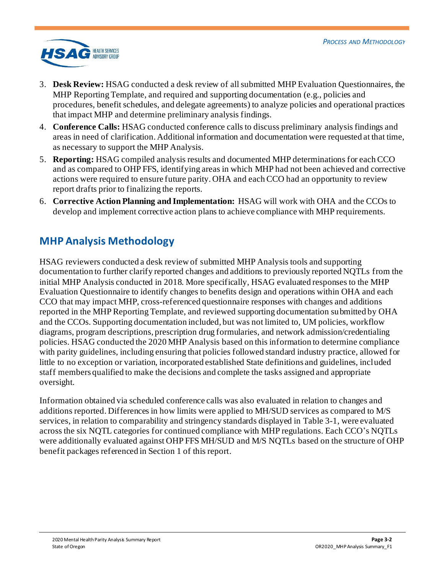

- 3. **Desk Review:** HSAG conducted a desk review of all submitted MHP Evaluation Questionnaires, the MHP Reporting Template, and required and supporting documentation (e.g., policies and procedures, benefit schedules, and delegate agreements) to analyze policies and operational practices that impact MHP and determine preliminary analysis findings.
- 4. **Conference Calls:** HSAG conducted conference calls to discuss preliminary analysis findings and areas in need of clarification. Additional information and documentation were requested at that time, as necessary to support the MHP Analysis.
- 5. **Reporting:** HSAG compiled analysis results and documented MHP determinations for each CCO and as compared to OHP FFS, identifying areas in which MHP had not been achieved and corrective actions were required to ensure future parity. OHA and each CCO had an opportunity to review report drafts prior to finalizing the reports.
- 6. **Corrective Action Planning and Implementation:** HSAG will work with OHA and the CCOs to develop and implement corrective action plans to achieve compliance with MHP requirements.

# <span id="page-10-0"></span>**MHP Analysis Methodology**

HSAG reviewers conducted a desk review of submitted MHP Analysis tools and supporting documentation to further clarify reported changes and additions to previously reported NQTLs from the initial MHP Analysis conducted in 2018. More specifically, HSAG evaluated responses to the MHP Evaluation Questionnaire to identify changes to benefits design and operations within OHA and each CCO that may impact MHP, cross-referenced questionnaire responses with changes and additions reported in the MHP Reporting Template, and reviewed supporting documentation submitted by OHA and the CCOs. Supporting documentation included, but was not limited to, UM policies, workflow diagrams, program descriptions, prescription drug formularies, and network admission/credentialing policies. HSAG conducted the 2020 MHP Analysis based on this information to determine compliance with parity guidelines, including ensuring that policies followed standard industry practice, allowed for little to no exception or variation, incorporated established State definitions and guidelines, included staff members qualified to make the decisions and complete the tasks assigned and appropriate oversight.

Information obtained via scheduled conference calls was also evaluated in relation to changes and additions reported. Differences in how limits were applied to MH/SUD services as compared to M/S services, in relation to comparability and stringency standards displayed in [Table 3-1](#page-11-1), were evaluated across the six NQTL categories for continued compliance with MHP regulations. Each CCO's NQTLs were additionally evaluated against OHP FFS MH/SUD and M/S NQTLs based on the structure of OHP benefit packages referenced in Section 1 of this report.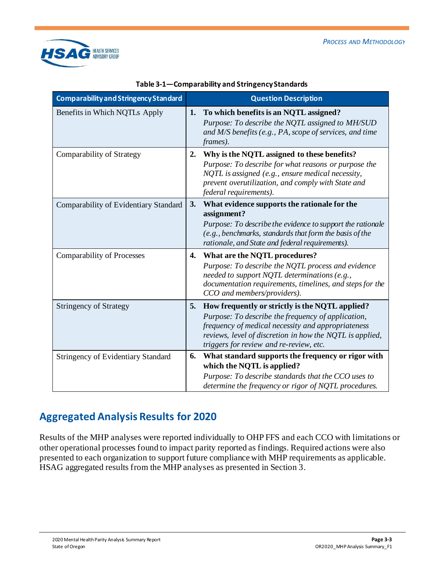

<span id="page-11-1"></span>

| Comparability and Stringency Standard     |    | <b>Question Description</b>                                                                                                                                                                                                                                        |
|-------------------------------------------|----|--------------------------------------------------------------------------------------------------------------------------------------------------------------------------------------------------------------------------------------------------------------------|
| Benefits in Which NQTLs Apply             | 1. | To which benefits is an NQTL assigned?<br>Purpose: To describe the NQTL assigned to MH/SUD<br>and $M/S$ benefits (e.g., PA, scope of services, and time<br>frames).                                                                                                |
| Comparability of Strategy                 | 2. | Why is the NQTL assigned to these benefits?<br>Purpose: To describe for what reasons or purpose the<br>NQTL is assigned (e.g., ensure medical necessity,<br>prevent overutilization, and comply with State and<br>federal requirements).                           |
| Comparability of Evidentiary Standard     | 3. | What evidence supports the rationale for the<br>assignment?<br>Purpose: To describe the evidence to support the rationale<br>(e.g., benchmarks, standards that form the basis of the<br>rationale, and State and federal requirements).                            |
| <b>Comparability of Processes</b>         | 4. | What are the NQTL procedures?<br>Purpose: To describe the NQTL process and evidence<br>needed to support NQTL determinations (e.g.,<br>documentation requirements, timelines, and steps for the<br>CCO and members/providers).                                     |
| <b>Stringency of Strategy</b>             | 5. | How frequently or strictly is the NQTL applied?<br>Purpose: To describe the frequency of application,<br>frequency of medical necessity and appropriateness<br>reviews, level of discretion in how the NQTL is applied,<br>triggers for review and re-review, etc. |
| <b>Stringency of Evidentiary Standard</b> | 6. | What standard supports the frequency or rigor with<br>which the NQTL is applied?<br>Purpose: To describe standards that the CCO uses to<br>determine the frequency or rigor of NQTL procedures.                                                                    |

#### **Table 3-1—Comparability and Stringency Standards**

# <span id="page-11-0"></span>**Aggregated Analysis Results for 2020**

Results of the MHP analyses were reported individually to OHP FFS and each CCO with limitations or other operational processes found to impact parity reported as findings. Required actions were also presented to each organization to support future compliance with MHP requirements as applicable. HSAG aggregated results from the MHP analyses as presented in Section 3.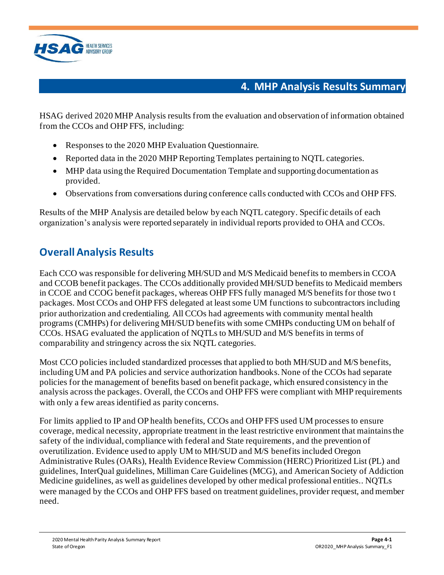

# **4. MHP Analysis Results Summary**

<span id="page-12-0"></span>HSAG derived 2020 MHP Analysis results from the evaluation and observation of information obtained from the CCOs and OHP FFS, including:

- Responses to the 2020 MHP Evaluation Ouestionnaire.
- Reported data in the 2020 MHP Reporting Templates pertaining to NOTL categories.
- MHP data using the Required Documentation Template and supporting documentation as provided.
- Observations from conversations during conference calls conducted with CCOs and OHP FFS.

Results of the MHP Analysis are detailed below by each NQTL category. Specific details of each organization's analysis were reported separately in individual reports provided to OHA and CCOs.

# <span id="page-12-1"></span>**Overall Analysis Results**

Each CCO was responsible for delivering MH/SUD and M/S Medicaid benefits to members in CCOA and CCOB benefit packages. The CCOs additionally provided MH/SUD benefits to Medicaid members in CCOE and CCOG benefit packages, whereas OHP FFS fully managed M/S benefits for those two t packages. Most CCOs and OHP FFS delegated at least some UM functions to subcontractors including prior authorization and credentialing. All CCOs had agreements with community mental health programs (CMHPs) for delivering MH/SUD benefits with some CMHPs conducting UM on behalf of CCOs. HSAG evaluated the application of NQTLs to MH/SUD and M/S benefits in terms of comparability and stringency across the six NQTL categories.

Most CCO policies included standardized processes that applied to both MH/SUD and M/S benefits, including UM and PA policies and service authorization handbooks. None of the CCOs had separate policies for the management of benefits based on benefit package, which ensured consistency in the analysis across the packages. Overall, the CCOs and OHP FFS were compliant with MHP requirements with only a few areas identified as parity concerns.

For limits applied to IP and OP health benefits, CCOs and OHP FFS used UM processes to ensure coverage, medical necessity, appropriate treatment in the least restrictive environment that maintains the safety of the individual, compliance with federal and State requirements, and the prevention of overutilization. Evidence used to apply UM to MH/SUD and M/S benefits included Oregon Administrative Rules (OARs), Health Evidence Review Commission (HERC) Prioritized List (PL) and guidelines, InterQual guidelines, Milliman Care Guidelines (MCG), and American Society of Addiction Medicine guidelines, as well as guidelines developed by other medical professional entities.. NQTLs were managed by the CCOs and OHP FFS based on treatment guidelines, provider request, and member need.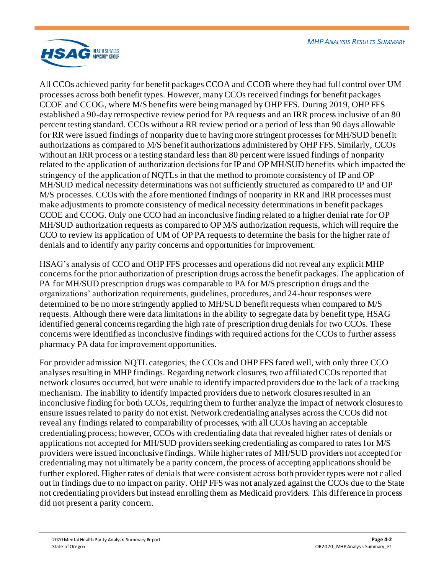

All CCOs achieved parity for benefit packages CCOA and CCOB where they had full control over UM processes across both benefit types. However, many CCOs received findings for benefit packages CCOE and CCOG, where M/S benefits were being managed by OHP FFS. During 2019, OHP FFS established a 90-day retrospective review period for PA requests and an IRR process inclusive of an 80 percent testing standard. CCOs without a RR review period or a period of less than 90 days allowable for RR were issued findings of nonparity due to having more stringent processes for MH/SUD benefit authorizations as compared to M/S benefit authorizations administered by OHP FFS. Similarly, CCOs without an IRR process or a testing standard less than 80 percent were issued findings of nonparity related to the application of authorization decisions for IP and OP MH/SUD benefits which impacted the stringency of the application of NQTLs in that the method to promote consistency of IP and OP MH/SUD medical necessity determinations was not sufficiently structured as compared to IP and OP M/S processes. CCOs with the afore mentioned findings of nonparity in RR and IRR processes must make adjustments to promote consistency of medical necessity determinations in benefit packages CCOE and CCOG. Only one CCO had an inconclusive finding related to a higher denial rate for OP MH/SUD authorization requests as compared to OP M/S authorization requests, which will require the CCO to review its application of UM of OP PA requests to determine the basis for the higher rate of denials and to identify any parity concerns and opportunities for improvement.

HSAG's analysis of CCO and OHP FFS processes and operations did not reveal any explicit MHP concerns for the prior authorization of prescription drugs across the benefit packages. The application of PA for MH/SUD prescription drugs was comparable to PA for M/S prescription drugs and the organizations' authorization requirements, guidelines, procedures, and 24-hour responses were determined to be no more stringently applied to MH/SUD benefit requests when compared to M/S requests. Although there were data limitations in the ability to segregate data by benefit type, HSAG identified general concerns regarding the high rate of prescription drug denials for two CCOs. These concerns were identified as inconclusive findings with required actions for the CCOs to further assess pharmacy PA data for improvement opportunities.

For provider admission NQTL categories, the CCOs and OHP FFS fared well, with only three CCO analyses resulting in MHP findings. Regarding network closures, two affiliated CCOs reported that network closures occurred, but were unable to identify impacted providers due to the lack of a tracking mechanism. The inability to identify impacted providers due to network closures resulted in an inconclusive finding for both CCOs, requiring them to further analyze the impact of network closures to ensure issues related to parity do not exist. Network credentialing analyses across the CCOs did not reveal any findings related to comparability of processes, with all CCOs having an acceptable credentialing process; however, CCOs with credentialing data that revealed higher rates of denials or applications not accepted for MH/SUD providers seeking credentialing as compared to rates for M/S providers were issued inconclusive findings. While higher rates of MH/SUD providers not accepted for credentialing may not ultimately be a parity concern, the process of accepting applications should be further explored. Higher rates of denials that were consistent across both provider types were not c alled out in findings due to no impact on parity. OHP FFS was not analyzed against the CCOs due to the State not credentialing providers but instead enrolling them as Medicaid providers. This difference in process did not present a parity concern.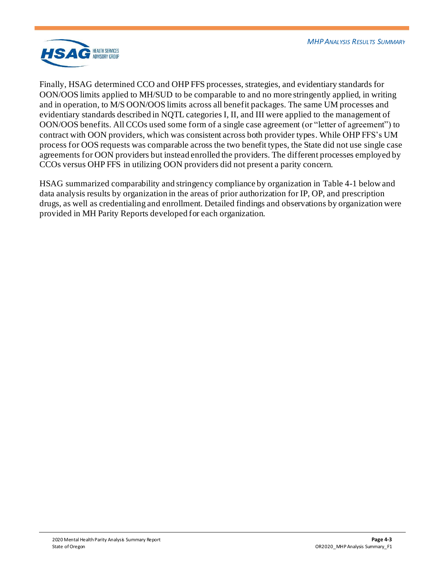

Finally, HSAG determined CCO and OHP FFS processes, strategies, and evidentiary standards for OON/OOS limits applied to MH/SUD to be comparable to and no more stringently applied, in writing and in operation, to M/S OON/OOS limits across all benefit packages. The same UM processes and evidentiary standards described in NQTL categories I, II, and III were applied to the management of OON/OOS benefits. All CCOs used some form of a single case agreement (or "letter of agreement") to contract with OON providers, which was consistent across both provider types. While OHP FFS's UM process for OOS requests was comparable across the two benefit types, the State did not use single case agreements for OON providers but instead enrolled the providers. The different processes employed by CCOs versus OHP FFS in utilizing OON providers did not present a parity concern.

HSAG summarized comparability and stringency compliance by organization in Table 4-1 below and data analysis results by organization in the areas of prior authorization for IP, OP, and prescription drugs, as well as credentialing and enrollment. Detailed findings and observations by organization were provided in MH Parity Reports developed for each organization.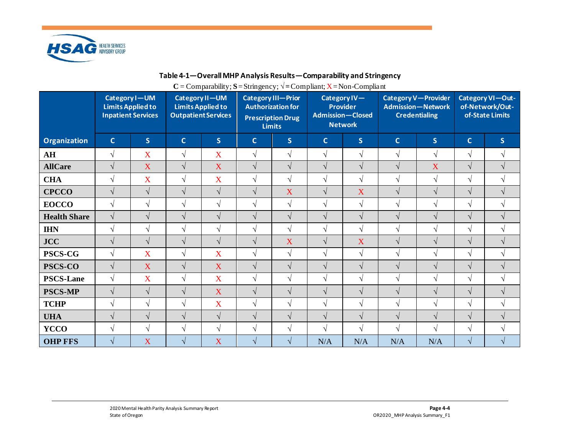

## **Table 4-1—Overall MHP Analysis Results—Comparability and Stringency**

 $C = \text{Comparability}; S = \text{Stringency}; \sqrt{\frac{1}{2} \text{Compliant}}; X = \text{Non-Complaint}$ 

|                     | Category I-UM<br><b>Limits Applied to</b><br><b>Inpatient Services</b> |              | Category II-UM<br><b>Limits Applied to</b><br><b>Outpatient Services</b> |              | <b>Category III-Prior</b><br><b>Authorization for</b><br><b>Prescription Drug</b><br><b>Limits</b> |               | Category IV-<br><b>Provider</b><br><b>Admission-Closed</b><br><b>Network</b> |            | Category V-Provider<br><b>Admission-Network</b><br><b>Credentialing</b> |              | Category VI-Out-<br>of-Network/Out-<br>of-State Limits |                         |
|---------------------|------------------------------------------------------------------------|--------------|--------------------------------------------------------------------------|--------------|----------------------------------------------------------------------------------------------------|---------------|------------------------------------------------------------------------------|------------|-------------------------------------------------------------------------|--------------|--------------------------------------------------------|-------------------------|
| <b>Organization</b> | $\mathsf{C}$                                                           | $\mathsf{S}$ | $\mathbf{C}$                                                             | $\mathsf{S}$ | $\mathbf C$                                                                                        | $\mathsf{S}$  | $\mathbf{C}$                                                                 | S          | $\mathbf{C}$                                                            | $\mathsf{S}$ | $\mathsf{C}$                                           | $\overline{\mathsf{S}}$ |
| AH                  | $\sqrt{}$                                                              | X            | $\sqrt{ }$                                                               | X            | $\sqrt{ }$                                                                                         | $\sqrt{ }$    | $\sqrt{ }$                                                                   | $\sqrt{ }$ | $\sqrt{ }$                                                              | $\sqrt{ }$   | $\sqrt{ }$                                             | $\sqrt{}$               |
| <b>AllCare</b>      | $\sqrt{}$                                                              | X            | $\sqrt{ }$                                                               | X            | $\sqrt{ }$                                                                                         | $\sqrt{ }$    | $\sqrt{ }$                                                                   | $\sqrt{ }$ | $\sqrt{ }$                                                              | X            | $\sqrt{}$                                              | $\sqrt{ }$              |
| <b>CHA</b>          | $\sqrt{ }$                                                             | X            | $\sqrt{ }$                                                               | X            | $\sqrt{}$                                                                                          | $\sqrt{ }$    | $\sqrt{ }$                                                                   | $\sqrt{}$  | $\sqrt{ }$                                                              | $\sqrt{ }$   | $\sqrt{}$                                              | V                       |
| <b>CPCCO</b>        | $\sqrt{ }$                                                             | $\sqrt{ }$   | $\sqrt{ }$                                                               | $\sqrt{ }$   | $\sqrt{ }$                                                                                         | X             | $\sqrt{ }$                                                                   | X          | $\sqrt{ }$                                                              | $\sqrt{ }$   | $\sqrt{}$                                              | $\sqrt{ }$              |
| <b>EOCCO</b>        | $\sqrt{ }$                                                             | V            | $\sqrt{ }$                                                               | $\sqrt{ }$   | $\sqrt{ }$                                                                                         | $\sqrt{ }$    | $\sqrt{ }$                                                                   | $\sqrt{ }$ | $\sqrt{ }$                                                              | $\sqrt{ }$   | $\sqrt{}$                                              | $\sqrt{}$               |
| <b>Health Share</b> | $\sqrt{ }$                                                             | V            | $\sqrt{ }$                                                               | $\sqrt{ }$   | $\sqrt{ }$                                                                                         | $\sqrt{ }$    | $\sqrt{ }$                                                                   | $\sqrt{}$  | $\sqrt{ }$                                                              | $\sqrt{ }$   | $\sqrt{}$                                              | $\sqrt{ }$              |
| <b>IHN</b>          | $\sqrt{ }$                                                             | $\sqrt{ }$   | $\sqrt{ }$                                                               | $\sqrt{ }$   | $\sqrt{ }$                                                                                         | $\sqrt{ }$    | $\sqrt{ }$                                                                   | $\sqrt{ }$ | $\sqrt{ }$                                                              | $\sqrt{ }$   | $\sqrt{ }$                                             | $\sqrt{}$               |
| <b>JCC</b>          | $\sqrt{}$                                                              | $\sqrt{ }$   | $\sqrt{ }$                                                               | $\sqrt{ }$   | $\sqrt{ }$                                                                                         | X             | $\sqrt{ }$                                                                   | X          | $\sqrt{ }$                                                              | $\sqrt{ }$   | $\sqrt{ }$                                             | $\sqrt{ }$              |
| PSCS-CG             | $\sqrt{ }$                                                             | X            | $\sqrt{ }$                                                               | X            | $\sqrt{ }$                                                                                         | $\sqrt{ }$    | $\sqrt{ }$                                                                   | $\sqrt{}$  | $\sqrt{ }$                                                              | $\sqrt{ }$   | V                                                      | V                       |
| <b>PSCS-CO</b>      | $\sqrt{ }$                                                             | X            | $\sqrt{ }$                                                               | X            | $\sqrt{ }$                                                                                         | $\sqrt{ }$    | $\sqrt{ }$                                                                   | $\sqrt{}$  | $\sqrt{ }$                                                              | $\sqrt{ }$   | $\sqrt{}$                                              | $\sqrt{ }$              |
| <b>PSCS-Lane</b>    | $\sqrt{}$                                                              | X            | $\sqrt{ }$                                                               | X            | $\sqrt{ }$                                                                                         | $\sqrt{ }$    | $\sqrt{ }$                                                                   | $\sqrt{}$  | $\sqrt{ }$                                                              | $\sqrt{}$    | V                                                      | $\sqrt{ }$              |
| <b>PSCS-MP</b>      | $\sqrt{}$                                                              | V            | $\sqrt{ }$                                                               | X            | $\sqrt{ }$                                                                                         | $\sqrt{ }$    | $\sqrt{ }$                                                                   | $\sqrt{}$  | $\sqrt{ }$                                                              | $\sqrt{ }$   | $\sqrt{}$                                              | $\sqrt{ }$              |
| <b>TCHP</b>         | $\sqrt{ }$                                                             | V            | $\sqrt{ }$                                                               | X            | $\sqrt{ }$                                                                                         | $\sqrt{ }$    | $\sqrt{ }$                                                                   | $\sqrt{}$  | $\sqrt{ }$                                                              | $\sqrt{ }$   | $\sqrt{ }$                                             | $\sqrt{ }$              |
| <b>UHA</b>          | $\sqrt{ }$                                                             | V            | $\sqrt{ }$                                                               | $\sqrt{ }$   | $\sqrt{ }$                                                                                         | $\sqrt{ }$    | $\sqrt{ }$                                                                   | $\sqrt{}$  | $\sqrt{ }$                                                              | $\sqrt{ }$   | $\sqrt{ }$                                             | $\sqrt{ }$              |
| <b>YCCO</b>         | $\sqrt{}$                                                              | $\sqrt{ }$   | $\sqrt{ }$                                                               | $\sqrt{ }$   | $\sqrt{ }$                                                                                         | $\sqrt{ }$    | $\sqrt{ }$                                                                   | $\sqrt{ }$ | $\sqrt{ }$                                                              | $\sqrt{ }$   | $\sqrt{ }$                                             | V                       |
| <b>OHP FFS</b>      | $\sqrt{ }$                                                             | X            | $\sqrt{ }$                                                               | X            | $\sqrt{ }$                                                                                         | $\mathcal{N}$ | N/A                                                                          | N/A        | N/A                                                                     | N/A          | $\sqrt{}$                                              |                         |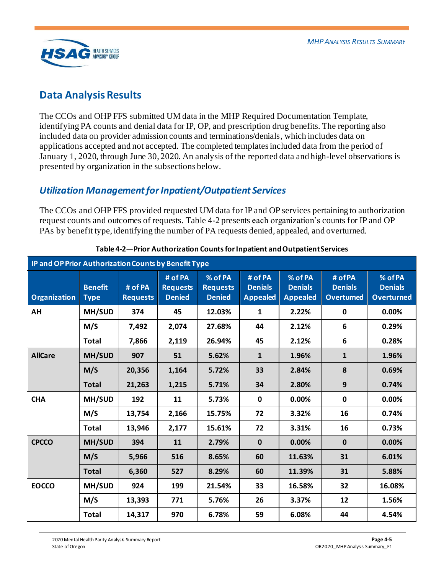

# <span id="page-16-0"></span>**Data Analysis Results**

The CCOs and OHP FFS submitted UM data in the MHP Required Documentation Template, identifying PA counts and denial data for IP, OP, and prescription drug benefits. The reporting also included data on provider admission counts and terminations/denials, which includes data on applications accepted and not accepted. The completed templates included data from the period of January 1, 2020, through June 30, 2020. An analysis of the reported data and high-level observations is presented by organization in the subsections below.

## <span id="page-16-1"></span>*Utilization Management for Inpatient/Outpatient Services*

The CCOs and OHP FFS provided requested UM data for IP and OP services pertaining to authorization request counts and outcomes of requests[. Table 4-2](#page-16-2) presents each organization's counts for IP and OP PAs by benefit type, identifying the number of PA requests denied, appealed, and overturned.

<span id="page-16-2"></span>

| IP and OP Prior Authorization Counts by Benefit Type |                               |                            |                                             |                                             |                                              |                                              |                                               |                                                |  |  |
|------------------------------------------------------|-------------------------------|----------------------------|---------------------------------------------|---------------------------------------------|----------------------------------------------|----------------------------------------------|-----------------------------------------------|------------------------------------------------|--|--|
| <b>Organization</b>                                  | <b>Benefit</b><br><b>Type</b> | # of PA<br><b>Requests</b> | # of PA<br><b>Requests</b><br><b>Denied</b> | % of PA<br><b>Requests</b><br><b>Denied</b> | # of PA<br><b>Denials</b><br><b>Appealed</b> | % of PA<br><b>Denials</b><br><b>Appealed</b> | # of PA<br><b>Denials</b><br><b>Overtumed</b> | % of PA<br><b>Denials</b><br><b>Overturned</b> |  |  |
| ΑН                                                   | MH/SUD                        | 374                        | 45                                          | 12.03%                                      | $\mathbf{1}$                                 | 2.22%                                        | 0                                             | 0.00%                                          |  |  |
|                                                      | M/S                           | 7,492                      | 2,074                                       | 27.68%                                      | 44                                           | 2.12%                                        | 6                                             | 0.29%                                          |  |  |
|                                                      | <b>Total</b>                  | 7,866                      | 2,119                                       | 26.94%                                      | 45                                           | 2.12%                                        | 6                                             | 0.28%                                          |  |  |
| <b>AllCare</b>                                       | MH/SUD                        | 907                        | 51                                          | 5.62%                                       | $\mathbf{1}$                                 | 1.96%                                        | $\mathbf{1}$                                  | 1.96%                                          |  |  |
|                                                      | M/S                           | 20,356                     | 1,164                                       | 5.72%                                       | 33                                           | 2.84%                                        | 8                                             | 0.69%                                          |  |  |
|                                                      | <b>Total</b>                  | 21,263                     | 1,215                                       | 5.71%                                       | 34                                           | 2.80%                                        | 9                                             | 0.74%                                          |  |  |
| <b>CHA</b>                                           | MH/SUD                        | 192                        | 11                                          | 5.73%                                       | $\mathbf 0$                                  | 0.00%                                        | $\mathbf 0$                                   | 0.00%                                          |  |  |
|                                                      | M/S                           | 13,754                     | 2,166                                       | 15.75%                                      | 72                                           | 3.32%                                        | 16                                            | 0.74%                                          |  |  |
|                                                      | <b>Total</b>                  | 13,946                     | 2,177                                       | 15.61%                                      | 72                                           | 3.31%                                        | 16                                            | 0.73%                                          |  |  |
| <b>CPCCO</b>                                         | MH/SUD                        | 394                        | 11                                          | 2.79%                                       | $\mathbf{0}$                                 | 0.00%                                        | $\mathbf{0}$                                  | 0.00%                                          |  |  |
|                                                      | M/S                           | 5,966                      | 516                                         | 8.65%                                       | 60                                           | 11.63%                                       | 31                                            | 6.01%                                          |  |  |
|                                                      | <b>Total</b>                  | 6,360                      | 527                                         | 8.29%                                       | 60                                           | 11.39%                                       | 31                                            | 5.88%                                          |  |  |
| <b>EOCCO</b>                                         | MH/SUD                        | 924                        | 199                                         | 21.54%                                      | 33                                           | 16.58%                                       | 32                                            | 16.08%                                         |  |  |
|                                                      | M/S                           | 13,393                     | 771                                         | 5.76%                                       | 26                                           | 3.37%                                        | 12                                            | 1.56%                                          |  |  |
|                                                      | <b>Total</b>                  | 14,317                     | 970                                         | 6.78%                                       | 59                                           | 6.08%                                        | 44                                            | 4.54%                                          |  |  |

## **Table 4-2—Prior Authorization Counts for Inpatient and Outpatient Services**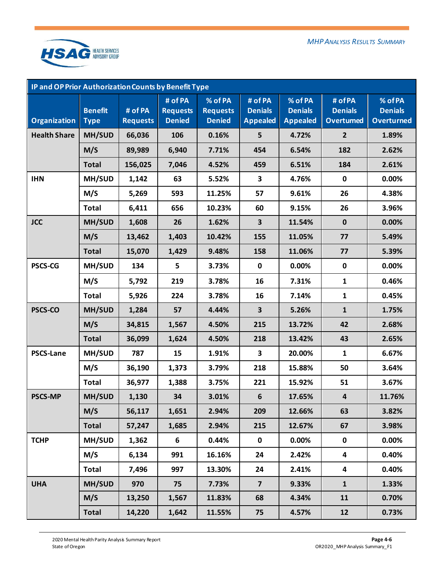

| <b>IP and OP Prior Authorization Counts by Benefit Type</b> |                               |                            |                                             |                                             |                                              |                                              |                                               |                                                |  |  |  |
|-------------------------------------------------------------|-------------------------------|----------------------------|---------------------------------------------|---------------------------------------------|----------------------------------------------|----------------------------------------------|-----------------------------------------------|------------------------------------------------|--|--|--|
| <b>Organization</b>                                         | <b>Benefit</b><br><b>Type</b> | # of PA<br><b>Requests</b> | # of PA<br><b>Requests</b><br><b>Denied</b> | % of PA<br><b>Requests</b><br><b>Denied</b> | # of PA<br><b>Denials</b><br><b>Appealed</b> | % of PA<br><b>Denials</b><br><b>Appealed</b> | # of PA<br><b>Denials</b><br><b>Overtumed</b> | % of PA<br><b>Denials</b><br><b>Overturned</b> |  |  |  |
| <b>Health Share</b>                                         | MH/SUD                        | 66,036                     | 106                                         | 0.16%                                       | 5                                            | 4.72%                                        | $\overline{2}$                                | 1.89%                                          |  |  |  |
|                                                             | M/S                           | 89,989                     | 6,940                                       | 7.71%                                       | 454                                          | 6.54%                                        | 182                                           | 2.62%                                          |  |  |  |
|                                                             | <b>Total</b>                  | 156,025                    | 7,046                                       | 4.52%                                       | 459                                          | 6.51%                                        | 184                                           | 2.61%                                          |  |  |  |
| <b>IHN</b>                                                  | MH/SUD                        | 1,142                      | 63                                          | 5.52%                                       | $\mathbf{3}$                                 | 4.76%                                        | $\pmb{0}$                                     | 0.00%                                          |  |  |  |
|                                                             | M/S                           | 5,269                      | 593                                         | 11.25%                                      | 57                                           | 9.61%                                        | 26                                            | 4.38%                                          |  |  |  |
|                                                             | <b>Total</b>                  | 6,411                      | 656                                         | 10.23%                                      | 60                                           | 9.15%                                        | 26                                            | 3.96%                                          |  |  |  |
| <b>JCC</b>                                                  | MH/SUD                        | 1,608                      | 26                                          | 1.62%                                       | $\mathbf{3}$                                 | 11.54%                                       | $\mathbf 0$                                   | 0.00%                                          |  |  |  |
|                                                             | M/S                           | 13,462                     | 1,403                                       | 10.42%                                      | 155                                          | 11.05%                                       | 77                                            | 5.49%                                          |  |  |  |
|                                                             | <b>Total</b>                  | 15,070                     | 1,429                                       | 9.48%                                       | 158                                          | 11.06%                                       | 77                                            | 5.39%                                          |  |  |  |
| <b>PSCS-CG</b>                                              | MH/SUD                        | 134                        | 5                                           | 3.73%                                       | $\mathbf 0$                                  | 0.00%                                        | $\pmb{0}$                                     | 0.00%                                          |  |  |  |
|                                                             | M/S                           | 5,792                      | 219                                         | 3.78%                                       | 16                                           | 7.31%                                        | $\mathbf{1}$                                  | 0.46%                                          |  |  |  |
|                                                             | <b>Total</b>                  | 5,926                      | 224                                         | 3.78%                                       | 16                                           | 7.14%                                        | $\mathbf{1}$                                  | 0.45%                                          |  |  |  |
| <b>PSCS-CO</b>                                              | MH/SUD                        | 1,284                      | 57                                          | 4.44%                                       | $\overline{\mathbf{3}}$                      | 5.26%                                        | $\mathbf{1}$                                  | 1.75%                                          |  |  |  |
|                                                             | M/S                           | 34,815                     | 1,567                                       | 4.50%                                       | 215                                          | 13.72%                                       | 42                                            | 2.68%                                          |  |  |  |
|                                                             | <b>Total</b>                  | 36,099                     | 1,624                                       | 4.50%                                       | 218                                          | 13.42%                                       | 43                                            | 2.65%                                          |  |  |  |
| <b>PSCS-Lane</b>                                            | MH/SUD                        | 787                        | 15                                          | 1.91%                                       | 3                                            | 20.00%                                       | $\mathbf{1}$                                  | 6.67%                                          |  |  |  |
|                                                             | M/S                           | 36,190                     | 1,373                                       | 3.79%                                       | 218                                          | 15.88%                                       | 50                                            | 3.64%                                          |  |  |  |
|                                                             | <b>Total</b>                  | 36,977                     | 1,388                                       | 3.75%                                       | 221                                          | 15.92%                                       | 51                                            | 3.67%                                          |  |  |  |
| <b>PSCS-MP</b>                                              | MH/SUD                        | 1,130                      | 34                                          | 3.01%                                       | $6\phantom{1}$                               | 17.65%                                       | $\overline{\mathbf{4}}$                       | 11.76%                                         |  |  |  |
|                                                             | M/S                           | 56,117                     | 1,651                                       | 2.94%                                       | 209                                          | 12.66%                                       | 63                                            | 3.82%                                          |  |  |  |
|                                                             | <b>Total</b>                  | 57,247                     | 1,685                                       | 2.94%                                       | 215                                          | 12.67%                                       | 67                                            | 3.98%                                          |  |  |  |
| <b>TCHP</b>                                                 | MH/SUD                        | 1,362                      | 6                                           | 0.44%                                       | $\mathbf 0$                                  | 0.00%                                        | $\mathbf 0$                                   | $0.00\%$                                       |  |  |  |
|                                                             | M/S                           | 6,134                      | 991                                         | 16.16%                                      | 24                                           | 2.42%                                        | $\overline{\mathbf{4}}$                       | 0.40%                                          |  |  |  |
|                                                             | Total                         | 7,496                      | 997                                         | 13.30%                                      | 24                                           | 2.41%                                        | $\overline{\mathbf{4}}$                       | 0.40%                                          |  |  |  |
| <b>UHA</b>                                                  | MH/SUD                        | 970                        | 75                                          | 7.73%                                       | $\overline{\mathbf{z}}$                      | 9.33%                                        | $\mathbf{1}$                                  | 1.33%                                          |  |  |  |
|                                                             | M/S                           | 13,250                     | 1,567                                       | 11.83%                                      | 68                                           | 4.34%                                        | 11                                            | 0.70%                                          |  |  |  |
|                                                             | Total                         | 14,220                     | 1,642                                       | 11.55%                                      | 75                                           | 4.57%                                        | 12                                            | 0.73%                                          |  |  |  |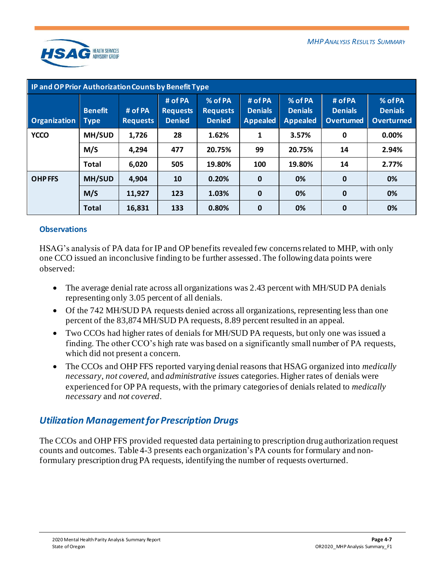

| <b>IP and OP Prior Authorization Counts by Benefit Type</b> |                               |                            |                                             |                                             |                                              |                                              |                                               |                                                |  |  |
|-------------------------------------------------------------|-------------------------------|----------------------------|---------------------------------------------|---------------------------------------------|----------------------------------------------|----------------------------------------------|-----------------------------------------------|------------------------------------------------|--|--|
| <b>Organization</b>                                         | <b>Benefit</b><br><b>Type</b> | # of PA<br><b>Requests</b> | # of PA<br><b>Requests</b><br><b>Denied</b> | % of PA<br><b>Requests</b><br><b>Denied</b> | # of PA<br><b>Denials</b><br><b>Appealed</b> | % of PA<br><b>Denials</b><br><b>Appealed</b> | # of PA<br><b>Denials</b><br><b>Overtumed</b> | % of PA<br><b>Denials</b><br><b>Overturned</b> |  |  |
| <b>YCCO</b>                                                 | MH/SUD                        | 1,726                      | 28                                          | 1.62%                                       | 1                                            | 3.57%                                        | 0                                             | 0.00%                                          |  |  |
|                                                             | M/S                           | 4,294                      | 477                                         | 20.75%                                      | 99                                           | 20.75%                                       | 14                                            | 2.94%                                          |  |  |
|                                                             | <b>Total</b>                  | 6,020                      | 505                                         | 19.80%                                      | 100                                          | 19.80%                                       | 14                                            | 2.77%                                          |  |  |
| <b>OHPFFS</b>                                               | MH/SUD                        | 4,904                      | 10                                          | 0.20%                                       | $\mathbf 0$                                  | 0%                                           | $\mathbf 0$                                   | 0%                                             |  |  |
|                                                             | M/S                           | 11,927                     | 123                                         | 1.03%                                       | $\mathbf 0$                                  | 0%                                           | $\mathbf 0$                                   | 0%                                             |  |  |
|                                                             | <b>Total</b>                  | 16,831                     | 133                                         | 0.80%                                       | $\bf{0}$                                     | 0%                                           | $\bf{0}$                                      | 0%                                             |  |  |

## **Observations**

HSAG's analysis of PA data for IP and OP benefits revealed few concerns related to MHP, with only one CCO issued an inconclusive finding to be further assessed. The following data points were observed:

- The average denial rate across all organizations was 2.43 percent with MH/SUD PA denials representing only 3.05 percent of all denials.
- Of the 742 MH/SUD PA requests denied across all organizations, representing less than one percent of the 83,874 MH/SUD PA requests, 8.89 percent resulted in an appeal.
- Two CCOs had higher rates of denials for MH/SUD PA requests, but only one was issued a finding. The other CCO's high rate was based on a significantly small number of PA requests, which did not present a concern.
- The CCOs and OHP FFS reported varying denial reasons that HSAG organized into *medically necessary*, *not covered*, and *administrative issues* categories. Higher rates of denials were experienced for OP PA requests, with the primary categories of denials related to *medically necessary* and *not covered*.

## <span id="page-18-0"></span>*Utilization Management for Prescription Drugs*

The CCOs and OHP FFS provided requested data pertaining to prescription drug authorization request counts and outcomes[. Table 4-3](#page-19-0) presents each organization's PA counts for formulary and nonformulary prescription drug PA requests, identifying the number of requests overturned.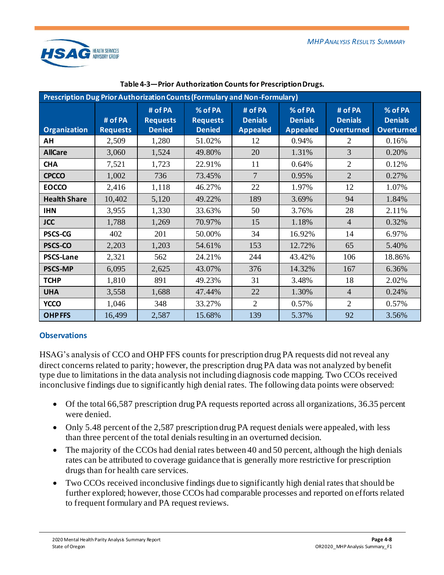

<span id="page-19-0"></span>

| Prescription Dug Prior Authorization Counts (Formulary and Non-Formulary) |                            |                                             |                                             |                                              |                                              |                                                |                                                |  |  |  |  |
|---------------------------------------------------------------------------|----------------------------|---------------------------------------------|---------------------------------------------|----------------------------------------------|----------------------------------------------|------------------------------------------------|------------------------------------------------|--|--|--|--|
| <b>Organization</b>                                                       | # of PA<br><b>Requests</b> | # of PA<br><b>Requests</b><br><b>Denied</b> | % of PA<br><b>Requests</b><br><b>Denied</b> | # of PA<br><b>Denials</b><br><b>Appealed</b> | % of PA<br><b>Denials</b><br><b>Appealed</b> | # of PA<br><b>Denials</b><br><b>Overturned</b> | % of PA<br><b>Denials</b><br><b>Overturned</b> |  |  |  |  |
| AH                                                                        | 2,509                      | 1,280                                       | 51.02%                                      | 12                                           | 0.94%                                        | 2                                              | 0.16%                                          |  |  |  |  |
| <b>AllCare</b>                                                            | 3,060                      | 1,524                                       | 49.80%                                      | 20                                           | 1.31%                                        | 3                                              | 0.20%                                          |  |  |  |  |
| <b>CHA</b>                                                                | 7,521                      | 1,723                                       | 22.91%                                      | 11                                           | 0.64%                                        | $\overline{2}$                                 | 0.12%                                          |  |  |  |  |
| <b>CPCCO</b>                                                              | 1,002                      | 736                                         | 73.45%                                      | 7                                            | 0.95%                                        | 2                                              | 0.27%                                          |  |  |  |  |
| <b>EOCCO</b>                                                              | 2,416                      | 1,118                                       | 46.27%                                      | 22                                           | 1.97%                                        | 12                                             | 1.07%                                          |  |  |  |  |
| <b>Health Share</b>                                                       | 10,402                     | 5,120                                       | 49.22%                                      | 189                                          | 3.69%                                        | 94                                             | 1.84%                                          |  |  |  |  |
| <b>IHN</b>                                                                | 3,955                      | 1,330                                       | 33.63%                                      | 50                                           | 3.76%                                        | 28                                             | 2.11%                                          |  |  |  |  |
| <b>JCC</b>                                                                | 1,788                      | 1,269                                       | 70.97%                                      | 15                                           | 1.18%                                        | $\overline{4}$                                 | 0.32%                                          |  |  |  |  |
| <b>PSCS-CG</b>                                                            | 402                        | 201                                         | 50.00%                                      | 34                                           | 16.92%                                       | 14                                             | 6.97%                                          |  |  |  |  |
| PSCS-CO                                                                   | 2,203                      | 1,203                                       | 54.61%                                      | 153                                          | 12.72%                                       | 65                                             | 5.40%                                          |  |  |  |  |
| <b>PSCS-Lane</b>                                                          | 2,321                      | 562                                         | 24.21%                                      | 244                                          | 43.42%                                       | 106                                            | 18.86%                                         |  |  |  |  |
| <b>PSCS-MP</b>                                                            | 6,095                      | 2,625                                       | 43.07%                                      | 376                                          | 14.32%                                       | 167                                            | 6.36%                                          |  |  |  |  |
| <b>TCHP</b>                                                               | 1,810                      | 891                                         | 49.23%                                      | 31                                           | 3.48%                                        | 18                                             | 2.02%                                          |  |  |  |  |
| <b>UHA</b>                                                                | 3,558                      | 1,688                                       | 47.44%                                      | 22                                           | 1.30%                                        | $\overline{4}$                                 | 0.24%                                          |  |  |  |  |
| <b>YCCO</b>                                                               | 1,046                      | 348                                         | 33.27%                                      | $\overline{2}$                               | 0.57%                                        | $\overline{2}$                                 | 0.57%                                          |  |  |  |  |
| <b>OHPFFS</b>                                                             | 16,499                     | 2,587                                       | 15.68%                                      | 139                                          | 5.37%                                        | 92                                             | 3.56%                                          |  |  |  |  |

#### **Table 4-3—Prior Authorization Counts for Prescription Drugs.**

## **Observations**

HSAG's analysis of CCO and OHP FFS counts for prescription drug PA requests did not reveal any direct concerns related to parity; however, the prescription drug PA data was not analyzed by benefit type due to limitations in the data analysis not including diagnosis code mapping. Two CCOs received inconclusive findings due to significantly high denial rates. The following data points were observed:

- Of the total 66,587 prescription drug PA requests reported across all organizations, 36.35 percent were denied.
- Only 5.48 percent of the 2,587 prescription drug PA request denials were appealed, with less than three percent of the total denials resulting in an overturned decision.
- The majority of the CCOs had denial rates between 40 and 50 percent, although the high denials rates can be attributed to coverage guidance that is generally more restrictive for prescription drugs than for health care services.
- Two CCOs received inconclusive findings due to significantly high denial rates that should be further explored; however, those CCOs had comparable processes and reported on efforts related to frequent formulary and PA request reviews.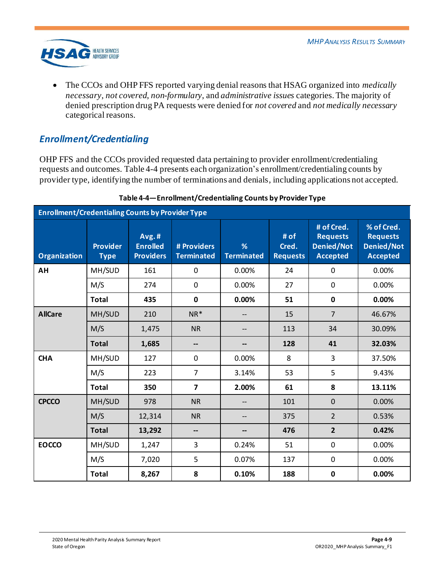

• The CCOs and OHP FFS reported varying denial reasons that HSAG organized into *medically necessary*, *not covered*, *non-formulary*, and *administrative issues* categories. The majority of denied prescription drug PA requests were denied for *not covered* and *not medically necessary* categorical reasons.

## <span id="page-20-0"></span>*Enrollment/Credentialing*

OHP FFS and the CCOs provided requested data pertaining to provider enrollment/credentialing requests and outcomes[. Table 4-4](#page-20-1) presents each organization's enrollment/credentialing counts by provider type, identifying the number of terminations and denials, including applications not accepted.

<span id="page-20-1"></span>

| <b>Enrollment/Credentialing Counts by Provider Type</b> |                                |                                              |                                  |                        |                                  |                                                                       |                                                                       |  |  |  |  |
|---------------------------------------------------------|--------------------------------|----------------------------------------------|----------------------------------|------------------------|----------------------------------|-----------------------------------------------------------------------|-----------------------------------------------------------------------|--|--|--|--|
| <b>Organization</b>                                     | <b>Provider</b><br><b>Type</b> | Avg.#<br><b>Enrolled</b><br><b>Providers</b> | # Providers<br><b>Terminated</b> | %<br><b>Terminated</b> | # of<br>Cred.<br><b>Requests</b> | # of Cred.<br><b>Requests</b><br><b>Denied/Not</b><br><b>Accepted</b> | % of Cred.<br><b>Requests</b><br><b>Denied/Not</b><br><b>Accepted</b> |  |  |  |  |
| AH                                                      | MH/SUD                         | 161                                          | $\mathbf 0$                      | 0.00%                  | 24                               | 0                                                                     | 0.00%                                                                 |  |  |  |  |
|                                                         | M/S                            | 274                                          | $\mathbf 0$                      | 0.00%                  | 27                               | $\mathbf 0$                                                           | 0.00%                                                                 |  |  |  |  |
|                                                         | <b>Total</b>                   | 435                                          | $\mathbf 0$                      | 0.00%                  | 51                               | $\mathbf 0$                                                           | 0.00%                                                                 |  |  |  |  |
| <b>AllCare</b>                                          | MH/SUD                         | 210                                          | $NR^*$                           |                        | 15                               | $\overline{7}$                                                        | 46.67%                                                                |  |  |  |  |
|                                                         | M/S                            | 1,475                                        | <b>NR</b>                        |                        | 113                              | 34                                                                    | 30.09%                                                                |  |  |  |  |
|                                                         | <b>Total</b>                   | 1,685                                        | --                               |                        | 128                              | 41                                                                    | 32.03%                                                                |  |  |  |  |
| <b>CHA</b>                                              | MH/SUD                         | 127                                          | $\mathbf 0$                      | 0.00%                  | 8                                | 3                                                                     | 37.50%                                                                |  |  |  |  |
|                                                         | M/S                            | 223                                          | $\overline{7}$                   | 3.14%                  | 53                               | 5                                                                     | 9.43%                                                                 |  |  |  |  |
|                                                         | <b>Total</b>                   | 350                                          | $\overline{7}$                   | 2.00%                  | 61                               | 8                                                                     | 13.11%                                                                |  |  |  |  |
| <b>CPCCO</b>                                            | MH/SUD                         | 978                                          | <b>NR</b>                        |                        | 101                              | $\mathbf 0$                                                           | 0.00%                                                                 |  |  |  |  |
|                                                         | M/S                            | 12,314                                       | <b>NR</b>                        |                        | 375                              | $\overline{2}$                                                        | 0.53%                                                                 |  |  |  |  |
|                                                         | <b>Total</b>                   | 13,292                                       | --                               |                        | 476                              | $\overline{2}$                                                        | 0.42%                                                                 |  |  |  |  |
| <b>EOCCO</b>                                            | MH/SUD                         | 1,247                                        | 3                                | 0.24%                  | 51                               | 0                                                                     | 0.00%                                                                 |  |  |  |  |
|                                                         | M/S                            | 7,020                                        | 5                                | 0.07%                  | 137                              | 0                                                                     | 0.00%                                                                 |  |  |  |  |
|                                                         | <b>Total</b>                   | 8,267                                        | 8                                | 0.10%                  | 188                              | $\mathbf 0$                                                           | 0.00%                                                                 |  |  |  |  |

## **Table 4-4—Enrollment/Credentialing Counts by Provider Type**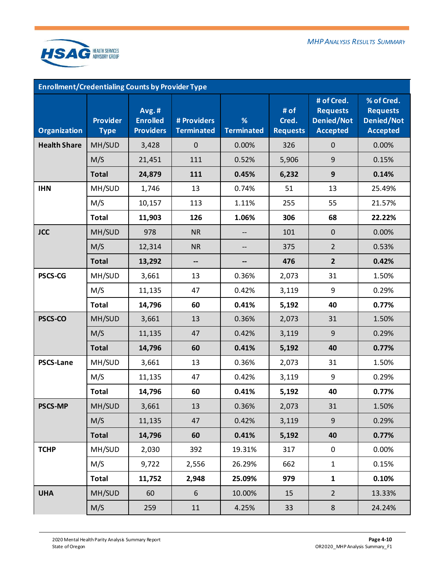

| <b>Enrollment/Credentialing Counts by Provider Type</b> |                                |                                              |                                  |                        |                                  |                                                                       |                                                                       |  |  |  |
|---------------------------------------------------------|--------------------------------|----------------------------------------------|----------------------------------|------------------------|----------------------------------|-----------------------------------------------------------------------|-----------------------------------------------------------------------|--|--|--|
| <b>Organization</b>                                     | <b>Provider</b><br><b>Type</b> | Avg.#<br><b>Enrolled</b><br><b>Providers</b> | # Providers<br><b>Terminated</b> | %<br><b>Terminated</b> | # of<br>Cred.<br><b>Requests</b> | # of Cred.<br><b>Requests</b><br><b>Denied/Not</b><br><b>Accepted</b> | % of Cred.<br><b>Requests</b><br><b>Denied/Not</b><br><b>Accepted</b> |  |  |  |
| <b>Health Share</b>                                     | MH/SUD                         | 3,428                                        | $\mathbf 0$                      | 0.00%                  | 326                              | $\pmb{0}$                                                             | 0.00%                                                                 |  |  |  |
|                                                         | M/S                            | 21,451                                       | 111                              | 0.52%                  | 5,906                            | 9                                                                     | 0.15%                                                                 |  |  |  |
|                                                         | <b>Total</b>                   | 24,879                                       | 111                              | 0.45%                  | 6,232                            | $\mathbf{9}$                                                          | 0.14%                                                                 |  |  |  |
| <b>IHN</b>                                              | MH/SUD                         | 1,746                                        | 13                               | 0.74%                  | 51                               | 13                                                                    | 25.49%                                                                |  |  |  |
|                                                         | M/S                            | 10,157                                       | 113                              | 1.11%                  | 255                              | 55                                                                    | 21.57%                                                                |  |  |  |
|                                                         | <b>Total</b>                   | 11,903                                       | 126                              | 1.06%                  | 306                              | 68                                                                    | 22.22%                                                                |  |  |  |
| <b>JCC</b>                                              | MH/SUD                         | 978                                          | <b>NR</b>                        |                        | 101                              | $\pmb{0}$                                                             | 0.00%                                                                 |  |  |  |
|                                                         | M/S                            | 12,314                                       | <b>NR</b>                        |                        | 375                              | $\overline{2}$                                                        | 0.53%                                                                 |  |  |  |
|                                                         | <b>Total</b>                   | 13,292                                       | --                               |                        | 476                              | $\overline{2}$                                                        | 0.42%                                                                 |  |  |  |
| <b>PSCS-CG</b>                                          | MH/SUD                         | 3,661                                        | 13                               | 0.36%                  | 2,073                            | 31                                                                    | 1.50%                                                                 |  |  |  |
|                                                         | M/S                            | 11,135                                       | 47                               | 0.42%                  | 3,119                            | 9                                                                     | 0.29%                                                                 |  |  |  |
|                                                         | <b>Total</b>                   | 14,796                                       | 60                               | 0.41%                  | 5,192                            | 40                                                                    | 0.77%                                                                 |  |  |  |
| PSCS-CO                                                 | MH/SUD                         | 3,661                                        | 13                               | 0.36%                  | 2,073                            | 31                                                                    | 1.50%                                                                 |  |  |  |
|                                                         | M/S                            | 11,135                                       | 47                               | 0.42%                  | 3,119                            | 9                                                                     | 0.29%                                                                 |  |  |  |
|                                                         | <b>Total</b>                   | 14,796                                       | 60                               | 0.41%                  | 5,192                            | 40                                                                    | 0.77%                                                                 |  |  |  |
| <b>PSCS-Lane</b>                                        | MH/SUD                         | 3,661                                        | 13                               | 0.36%                  | 2,073                            | 31                                                                    | 1.50%                                                                 |  |  |  |
|                                                         | M/S                            | 11,135                                       | 47                               | 0.42%                  | 3,119                            | 9                                                                     | 0.29%                                                                 |  |  |  |
|                                                         | <b>Total</b>                   | 14,796                                       | 60                               | 0.41%                  | 5,192                            | 40                                                                    | 0.77%                                                                 |  |  |  |
| <b>PSCS-MP</b>                                          | MH/SUD                         | 3,661                                        | 13                               | 0.36%                  | 2,073                            | 31                                                                    | 1.50%                                                                 |  |  |  |
|                                                         | M/S                            | 11,135                                       | 47                               | 0.42%                  | 3,119                            | $\mathsf 9$                                                           | 0.29%                                                                 |  |  |  |
|                                                         | <b>Total</b>                   | 14,796                                       | 60                               | 0.41%                  | 5,192                            | 40                                                                    | 0.77%                                                                 |  |  |  |
| <b>TCHP</b>                                             | MH/SUD                         | 2,030                                        | 392                              | 19.31%                 | 317                              | $\mathbf 0$                                                           | 0.00%                                                                 |  |  |  |
|                                                         | M/S                            | 9,722                                        | 2,556                            | 26.29%                 | 662                              | $\mathbf{1}$                                                          | 0.15%                                                                 |  |  |  |
|                                                         | <b>Total</b>                   | 11,752                                       | 2,948                            | 25.09%                 | 979                              | $\mathbf{1}$                                                          | 0.10%                                                                 |  |  |  |
| <b>UHA</b>                                              | MH/SUD                         | 60                                           | 6                                | 10.00%                 | 15                               | $\overline{2}$                                                        | 13.33%                                                                |  |  |  |
|                                                         | M/S                            | 259                                          | 11                               | 4.25%                  | 33                               | 8                                                                     | 24.24%                                                                |  |  |  |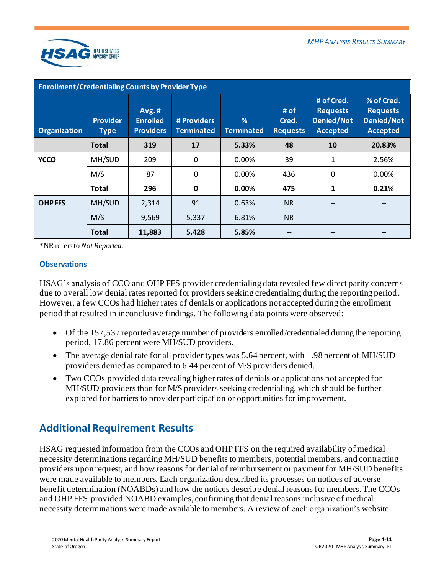

| Enrollment/Credentialing Counts by Provider Type |                                |                                              |                                  |                        |                                  |                                                                |                                                                       |  |  |  |
|--------------------------------------------------|--------------------------------|----------------------------------------------|----------------------------------|------------------------|----------------------------------|----------------------------------------------------------------|-----------------------------------------------------------------------|--|--|--|
| <b>Organization</b>                              | <b>Provider</b><br><b>Type</b> | Avg.#<br><b>Enrolled</b><br><b>Providers</b> | # Providers<br><b>Terminated</b> | %<br><b>Terminated</b> | # of<br>Cred.<br><b>Requests</b> | # of Cred.<br><b>Requests</b><br>Denied/Not<br><b>Accepted</b> | % of Cred.<br><b>Requests</b><br><b>Denied/Not</b><br><b>Accepted</b> |  |  |  |
|                                                  | Total                          | 319                                          | 17                               | 5.33%                  | 48                               | 10                                                             | 20.83%                                                                |  |  |  |
| <b>YCCO</b>                                      | MH/SUD                         | 209                                          | 0                                | 0.00%                  | 39                               | 1                                                              | 2.56%                                                                 |  |  |  |
|                                                  | M/S                            | 87                                           | 0                                | 0.00%                  | 436                              | 0                                                              | 0.00%                                                                 |  |  |  |
|                                                  | <b>Total</b>                   | 296                                          | 0                                | 0.00%                  | 475                              | 1                                                              | 0.21%                                                                 |  |  |  |
| <b>OHPFFS</b>                                    | MH/SUD                         | 2,314                                        | 91                               | 0.63%                  | <b>NR</b>                        | --                                                             |                                                                       |  |  |  |
|                                                  | M/S                            | 9,569                                        | 5,337                            | 6.81%                  | <b>NR</b>                        |                                                                |                                                                       |  |  |  |
|                                                  | <b>Total</b>                   | 11,883                                       | 5,428                            | 5.85%                  |                                  |                                                                |                                                                       |  |  |  |

\*NR refers to *Not Reported*.

## **Observations**

HSAG's analysis of CCO and OHP FFS provider credentialing data revealed few direct parity concerns due to overall low denial rates reported for providers seeking credentialing during the reporting period. However, a few CCOs had higher rates of denials or applications not accepted during the enrollment period that resulted in inconclusive findings. The following data points were observed:

- Of the 157,537 reported average number of providers enrolled/credentialed during the reporting period, 17.86 percent were MH/SUD providers.
- The average denial rate for all provider types was 5.64 percent, with 1.98 percent of MH/SUD providers denied as compared to 6.44 percent of M/S providers denied.
- Two CCOs provided data revealing higher rates of denials or applications not accepted for MH/SUD providers than for M/S providers seeking credentialing, which should be further explored for barriers to provider participation or opportunities for improvement.

## <span id="page-22-0"></span>**Additional Requirement Results**

HSAG requested information from the CCOs and OHP FFS on the required availability of medical necessity determinations regarding MH/SUD benefits to members, potential members, and contracting providers upon request, and how reasons for denial of reimbursement or payment for MH/SUD benefits were made available to members. Each organization described its processes on notices of adverse benefit determination (NOABDs) and how the notices describe denial reasons for members. The CCOs and OHP FFS provided NOABD examples, confirming that denial reasons inclusive of medical necessity determinations were made available to members. A review of each organization's website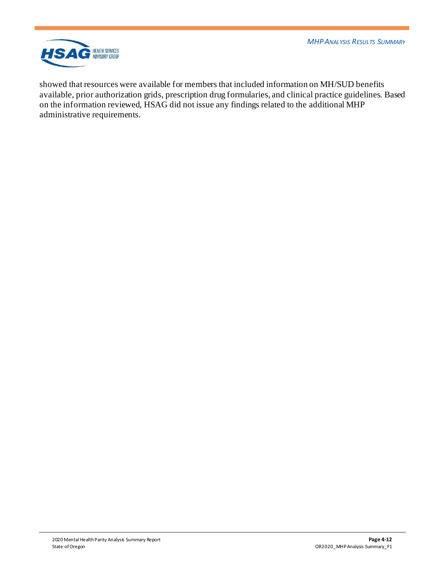*MHPANALYSIS RESULTS SUMMARY*



showed that resources were available for members that included information on MH/SUD benefits available, prior authorization grids, prescription drug formularies, and clinical practice guidelines. Based on the information reviewed, HSAG did not issue any findings related to the additional MHP administrative requirements.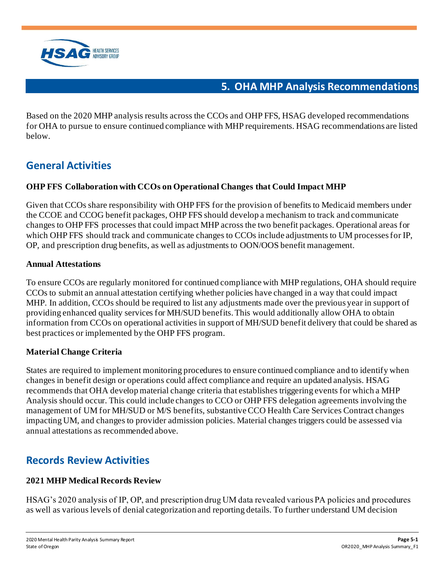

## **5. OHA MHP Analysis Recommendations**

<span id="page-24-0"></span>Based on the 2020 MHP analysis results across the CCOs and OHP FFS, HSAG developed recommendations for OHA to pursue to ensure continued compliance with MHP requirements. HSAG recommendations are listed below.

# <span id="page-24-1"></span>**General Activities**

## **OHP FFS Collaboration with CCOs on Operational Changes that Could Impact MHP**

Given that CCOs share responsibility with OHP FFS for the provision of benefits to Medicaid members under the CCOE and CCOG benefit packages, OHP FFS should develop a mechanism to track and communicate changes to OHP FFS processes that could impact MHP across the two benefit packages. Operational areas for which OHP FFS should track and communicate changes to CCOs include adjustments to UM processes for IP, OP, and prescription drug benefits, as well as adjustments to OON/OOS benefit management.

## **Annual Attestations**

To ensure CCOs are regularly monitored for continued compliance with MHP regulations, OHA should require CCOs to submit an annual attestation certifying whether policies have changed in a way that could impact MHP. In addition, CCOs should be required to list any adjustments made over the previous year in support of providing enhanced quality services for MH/SUD benefits. This would additionally allow OHA to obtain information from CCOs on operational activities in support of MH/SUD benefit delivery that could be shared as best practices or implemented by the OHP FFS program.

## **Material Change Criteria**

States are required to implement monitoring procedures to ensure continued compliance and to identify when changes in benefit design or operations could affect compliance and require an updated analysis. HSAG recommends that OHA develop material change criteria that establishes triggering events for which a MHP Analysis should occur. This could include changes to CCO or OHP FFS delegation agreements involving the management of UM for MH/SUD or M/S benefits, substantive CCO Health Care Services Contract changes impacting UM, and changes to provider admission policies. Material changes triggers could be assessed via annual attestations as recommended above.

## <span id="page-24-2"></span>**Records Review Activities**

## **2021 MHP Medical Records Review**

HSAG's 2020 analysis of IP, OP, and prescription drug UM data revealed various PA policies and procedures as well as various levels of denial categorization and reporting details. To further understand UM decision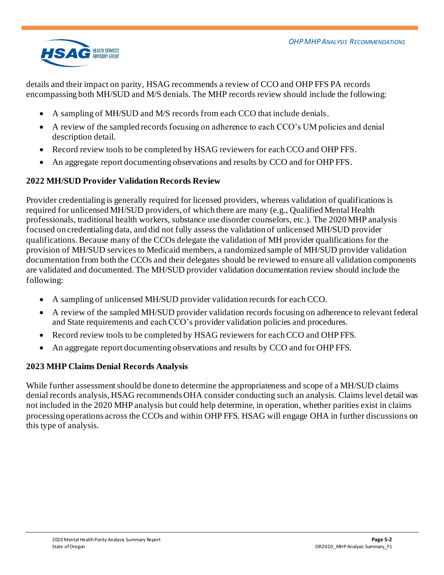

details and their impact on parity, HSAG recommends a review of CCO and OHP FFS PA records encompassing both MH/SUD and M/S denials. The MHP records review should include the following:

- A sampling of MH/SUD and M/S records from each CCO that include denials.
- A review of the sampled records focusing on adherence to each CCO's UM policies and denial description detail.
- Record review tools to be completed by HSAG reviewers for each CCO and OHP FFS.
- An aggregate report documenting observations and results by CCO and for OHP FFS.

## **2022 MH/SUD Provider Validation Records Review**

Provider credentialing is generally required for licensed providers, whereas validation of qualifications is required for unlicensed MH/SUD providers, of which there are many (e.g., Qualified Mental Health professionals, traditional health workers, substance use disorder counselors, etc.). The 2020 MHP analysis focused on credentialing data, and did not fully assess the validation of unlicensed MH/SUD provider qualifications. Because many of the CCOs delegate the validation of MH provider qualifications for the provision of MH/SUD services to Medicaid members, a randomized sample of MH/SUD provider validation documentation from both the CCOs and their delegates should be reviewed to ensure all validation components are validated and documented. The MH/SUD provider validation documentation review should include the following:

- A sampling of unlicensed MH/SUD provider validation records for each CCO.
- A review of the sampled MH/SUD provider validation records focusing on adherence to relevant federal and State requirements and each CCO's provider validation policies and procedures.
- Record review tools to be completed by HSAG reviewers for each CCO and OHP FFS.
- An aggregate report documenting observations and results by CCO and for OHP FFS.

## **2023 MHP Claims Denial Records Analysis**

While further assessment should be done to determine the appropriateness and scope of a MH/SUD claims denial records analysis, HSAG recommends OHA consider conducting such an analysis. Claims level detail was not included in the 2020 MHP analysis but could help determine, in operation, whether parities exist in claims processing operations across the CCOs and within OHP FFS. HSAG will engage OHA in further discussions on this type of analysis.